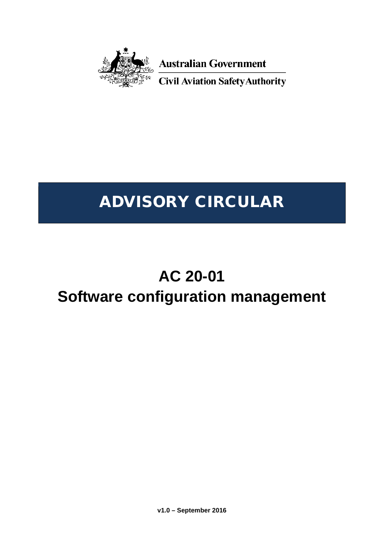

**Australian Government** 

**Civil Aviation Safety Authority** 

# ADVISORY CIRCULAR

# **AC 20-01**

## **Software configuration management**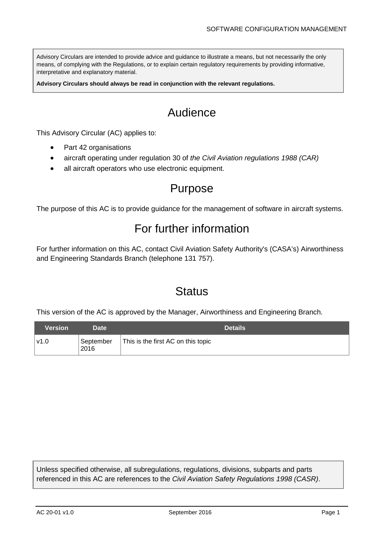Advisory Circulars are intended to provide advice and guidance to illustrate a means, but not necessarily the only means, of complying with the Regulations, or to explain certain regulatory requirements by providing informative, interpretative and explanatory material.

**Advisory Circulars should always be read in conjunction with the relevant regulations.**

## Audience

This Advisory Circular (AC) applies to:

- Part 42 organisations
- aircraft operating under regulation 30 of *the Civil Aviation regulations 1988 (CAR)*
- all aircraft operators who use electronic equipment.

### Purpose

The purpose of this AC is to provide guidance for the management of software in aircraft systems.

### For further information

For further information on this AC, contact Civil Aviation Safety Authority's (CASA's) Airworthiness and Engineering Standards Branch (telephone 131 757).

### **Status**

This version of the AC is approved by the Manager, Airworthiness and Engineering Branch.

| Version | Date              |                                    | <b>Details</b> |
|---------|-------------------|------------------------------------|----------------|
| ⊺v1.0   | September<br>2016 | This is the first AC on this topic |                |

Unless specified otherwise, all subregulations, regulations, divisions, subparts and parts referenced in this AC are references to the *Civil Aviation Safety Regulations 1998 (CASR)*.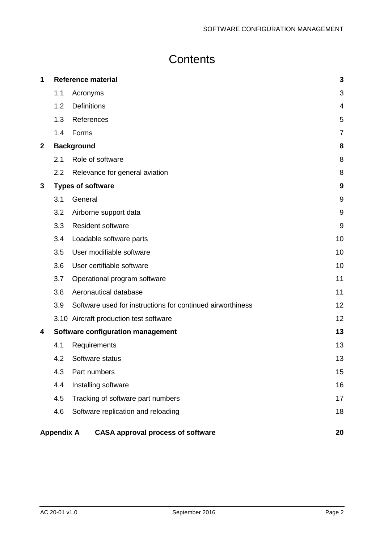## **Contents**

| 1           |                   | <b>Reference material</b>                                  | $\mathbf{3}$   |
|-------------|-------------------|------------------------------------------------------------|----------------|
|             | 1.1               | Acronyms                                                   | 3              |
|             | 1.2               | <b>Definitions</b>                                         | $\overline{4}$ |
|             | 1.3               | References                                                 | 5              |
|             | 1.4               | Forms                                                      | $\overline{7}$ |
| $\mathbf 2$ |                   | <b>Background</b>                                          | 8              |
|             | 2.1               | Role of software                                           | 8              |
|             | 2.2               | Relevance for general aviation                             | 8              |
| 3           |                   | <b>Types of software</b>                                   | 9              |
|             | 3.1               | General                                                    | 9              |
|             | 3.2               | Airborne support data                                      | 9              |
|             | 3.3               | <b>Resident software</b>                                   | 9              |
|             | 3.4               | Loadable software parts                                    | 10             |
|             | 3.5               | User modifiable software                                   | 10             |
|             | 3.6               | User certifiable software                                  | 10             |
|             | 3.7               | Operational program software                               | 11             |
|             | 3.8               | Aeronautical database                                      | 11             |
|             | 3.9               | Software used for instructions for continued airworthiness | 12             |
|             |                   | 3.10 Aircraft production test software                     | 12             |
| 4           |                   | Software configuration management                          | 13             |
|             | 4.1               | Requirements                                               | 13             |
|             | 4.2               | Software status                                            | 13             |
|             | 4.3               | Part numbers                                               | 15             |
|             | 4.4               | Installing software                                        | 16             |
|             | 4.5               | Tracking of software part numbers                          | 17             |
|             | 4.6               | Software replication and reloading                         | 18             |
|             | <b>Appendix A</b> | <b>CASA approval process of software</b>                   | 20             |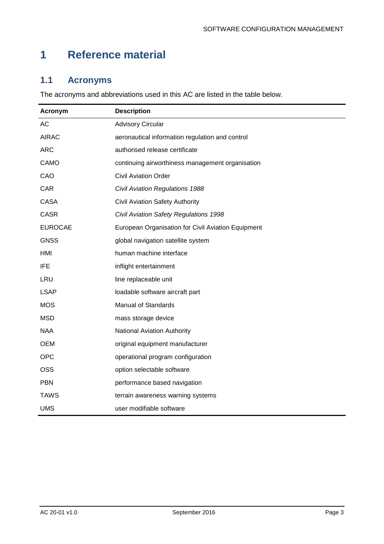## <span id="page-3-0"></span>**1 Reference material**

#### <span id="page-3-1"></span>**1.1 Acronyms**

The acronyms and abbreviations used in this AC are listed in the table below.

| Acronym        | <b>Description</b>                                 |
|----------------|----------------------------------------------------|
| <b>AC</b>      | <b>Advisory Circular</b>                           |
| <b>AIRAC</b>   | aeronautical information regulation and control    |
| <b>ARC</b>     | authorised release certificate                     |
| CAMO           | continuing airworthiness management organisation   |
| CAO            | <b>Civil Aviation Order</b>                        |
| CAR            | <b>Civil Aviation Regulations 1988</b>             |
| <b>CASA</b>    | Civil Aviation Safety Authority                    |
| <b>CASR</b>    | Civil Aviation Safety Regulations 1998             |
| <b>EUROCAE</b> | European Organisation for Civil Aviation Equipment |
| <b>GNSS</b>    | global navigation satellite system                 |
| <b>HMI</b>     | human machine interface                            |
| <b>IFE</b>     | inflight entertainment                             |
| <b>LRU</b>     | line replaceable unit                              |
| <b>LSAP</b>    | loadable software aircraft part                    |
| <b>MOS</b>     | <b>Manual of Standards</b>                         |
| <b>MSD</b>     | mass storage device                                |
| <b>NAA</b>     | National Aviation Authority                        |
| <b>OEM</b>     | original equipment manufacturer                    |
| <b>OPC</b>     | operational program configuration                  |
| <b>OSS</b>     | option selectable software                         |
| <b>PBN</b>     | performance based navigation                       |
| <b>TAWS</b>    | terrain awareness warning systems                  |
| <b>UMS</b>     | user modifiable software                           |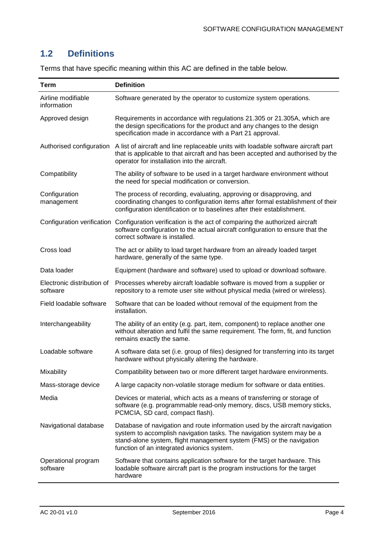#### <span id="page-4-0"></span>**1.2 Definitions**

| <b>Term</b>                            | <b>Definition</b>                                                                                                                                                                                                                                                           |
|----------------------------------------|-----------------------------------------------------------------------------------------------------------------------------------------------------------------------------------------------------------------------------------------------------------------------------|
| Airline modifiable<br>information      | Software generated by the operator to customize system operations.                                                                                                                                                                                                          |
| Approved design                        | Requirements in accordance with regulations 21.305 or 21.305A, which are<br>the design specifications for the product and any changes to the design<br>specification made in accordance with a Part 21 approval.                                                            |
| Authorised configuration               | A list of aircraft and line replaceable units with loadable software aircraft part<br>that is applicable to that aircraft and has been accepted and authorised by the<br>operator for installation into the aircraft.                                                       |
| Compatibility                          | The ability of software to be used in a target hardware environment without<br>the need for special modification or conversion.                                                                                                                                             |
| Configuration<br>management            | The process of recording, evaluating, approving or disapproving, and<br>coordinating changes to configuration items after formal establishment of their<br>configuration identification or to baselines after their establishment.                                          |
|                                        | Configuration verification Configuration verification is the act of comparing the authorized aircraft<br>software configuration to the actual aircraft configuration to ensure that the<br>correct software is installed.                                                   |
| Cross load                             | The act or ability to load target hardware from an already loaded target<br>hardware, generally of the same type.                                                                                                                                                           |
| Data loader                            | Equipment (hardware and software) used to upload or download software.                                                                                                                                                                                                      |
| Electronic distribution of<br>software | Processes whereby aircraft loadable software is moved from a supplier or<br>repository to a remote user site without physical media (wired or wireless).                                                                                                                    |
| Field loadable software                | Software that can be loaded without removal of the equipment from the<br>installation.                                                                                                                                                                                      |
| Interchangeability                     | The ability of an entity (e.g. part, item, component) to replace another one<br>without alteration and fulfil the same requirement. The form, fit, and function<br>remains exactly the same.                                                                                |
| Loadable software                      | A software data set (i.e. group of files) designed for transferring into its target<br>hardware without physically altering the hardware.                                                                                                                                   |
| Mixability                             | Compatibility between two or more different target hardware environments.                                                                                                                                                                                                   |
| Mass-storage device                    | A large capacity non-volatile storage medium for software or data entities.                                                                                                                                                                                                 |
| Media                                  | Devices or material, which acts as a means of transferring or storage of<br>software (e.g. programmable read-only memory, discs, USB memory sticks,<br>PCMCIA, SD card, compact flash).                                                                                     |
| Navigational database                  | Database of navigation and route information used by the aircraft navigation<br>system to accomplish navigation tasks. The navigation system may be a<br>stand-alone system, flight management system (FMS) or the navigation<br>function of an integrated avionics system. |
| Operational program<br>software        | Software that contains application software for the target hardware. This<br>loadable software aircraft part is the program instructions for the target<br>hardware                                                                                                         |

Terms that have specific meaning within this AC are defined in the table below.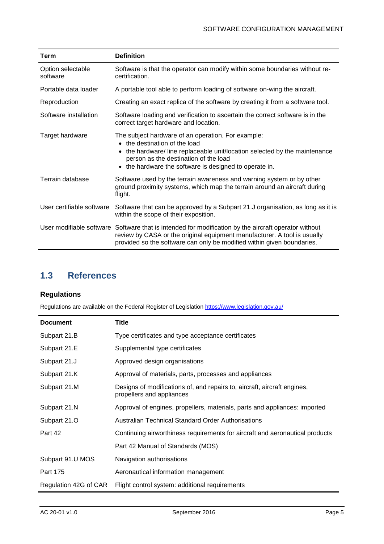| Term                          | <b>Definition</b>                                                                                                                                                                                                                                                              |
|-------------------------------|--------------------------------------------------------------------------------------------------------------------------------------------------------------------------------------------------------------------------------------------------------------------------------|
| Option selectable<br>software | Software is that the operator can modify within some boundaries without re-<br>certification.                                                                                                                                                                                  |
| Portable data loader          | A portable tool able to perform loading of software on-wing the aircraft.                                                                                                                                                                                                      |
| Reproduction                  | Creating an exact replica of the software by creating it from a software tool.                                                                                                                                                                                                 |
| Software installation         | Software loading and verification to ascertain the correct software is in the<br>correct target hardware and location.                                                                                                                                                         |
| Target hardware               | The subject hardware of an operation. For example:<br>• the destination of the load<br>• the hardware/line replaceable unit/location selected by the maintenance<br>person as the destination of the load<br>the hardware the software is designed to operate in.<br>$\bullet$ |
| Terrain database              | Software used by the terrain awareness and warning system or by other<br>ground proximity systems, which map the terrain around an aircraft during<br>flight.                                                                                                                  |
| User certifiable software     | Software that can be approved by a Subpart 21.J organisation, as long as it is<br>within the scope of their exposition.                                                                                                                                                        |
|                               | User modifiable software Software that is intended for modification by the aircraft operator without<br>review by CASA or the original equipment manufacturer. A tool is usually<br>provided so the software can only be modified within given boundaries.                     |

#### <span id="page-5-0"></span>**1.3 References**

#### **Regulations**

Regulations are available on the Federal Register of Legislation<https://www.legislation.gov.au/>

| <b>Document</b>       | Title                                                                                                 |
|-----------------------|-------------------------------------------------------------------------------------------------------|
| Subpart 21.B          | Type certificates and type acceptance certificates                                                    |
| Subpart 21.E          | Supplemental type certificates                                                                        |
| Subpart 21.J          | Approved design organisations                                                                         |
| Subpart 21.K          | Approval of materials, parts, processes and appliances                                                |
| Subpart 21.M          | Designs of modifications of, and repairs to, aircraft, aircraft engines,<br>propellers and appliances |
| Subpart 21.N          | Approval of engines, propellers, materials, parts and appliances: imported                            |
| Subpart 21.O          | Australian Technical Standard Order Authorisations                                                    |
| Part 42               | Continuing airworthiness requirements for aircraft and aeronautical products                          |
|                       | Part 42 Manual of Standards (MOS)                                                                     |
| Subpart 91.U MOS      | Navigation authorisations                                                                             |
| Part 175              | Aeronautical information management                                                                   |
| Regulation 42G of CAR | Flight control system: additional requirements                                                        |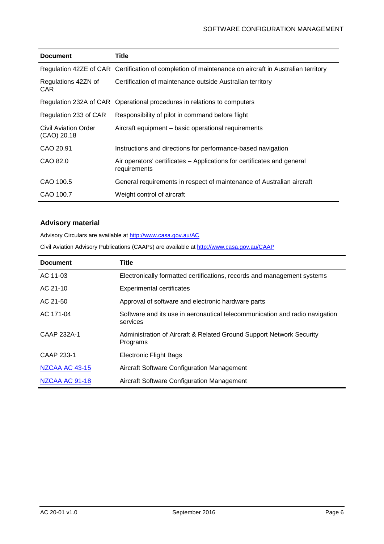| <b>Document</b>                     | Title                                                                                                 |  |
|-------------------------------------|-------------------------------------------------------------------------------------------------------|--|
|                                     | Regulation 42ZE of CAR Certification of completion of maintenance on aircraft in Australian territory |  |
| Regulations 42ZN of<br>CAR.         | Certification of maintenance outside Australian territory                                             |  |
|                                     | Regulation 232A of CAR Operational procedures in relations to computers                               |  |
| Regulation 233 of CAR               | Responsibility of pilot in command before flight                                                      |  |
| Civil Aviation Order<br>(CAO) 20.18 | Aircraft equipment – basic operational requirements                                                   |  |
| CAO 20.91                           | Instructions and directions for performance-based navigation                                          |  |
| CAO 82.0                            | Air operators' certificates – Applications for certificates and general<br>requirements               |  |
| CAO 100.5                           | General requirements in respect of maintenance of Australian aircraft                                 |  |
| CAO 100.7                           | Weight control of aircraft                                                                            |  |

#### **Advisory material**

Advisory Circulars are available at [http://www.casa.gov.au/AC](http://www.casa.gov.au/ACs)

Civil Aviation Advisory Publications (CAAPs) are available a[t http://www.casa.gov.au/CAAP](http://www.casa.gov.au/CAAPs)

| <b>Document</b>       | Title                                                                                   |
|-----------------------|-----------------------------------------------------------------------------------------|
| AC 11-03              | Electronically formatted certifications, records and management systems                 |
| AC 21-10              | <b>Experimental certificates</b>                                                        |
| AC 21-50              | Approval of software and electronic hardware parts                                      |
| AC 171-04             | Software and its use in aeronautical telecommunication and radio navigation<br>services |
| CAAP 232A-1           | Administration of Aircraft & Related Ground Support Network Security<br>Programs        |
| CAAP 233-1            | <b>Electronic Flight Bags</b>                                                           |
| <b>NZCAA AC 43-15</b> | Aircraft Software Configuration Management                                              |
| NZCAA AC 91-18        | Aircraft Software Configuration Management                                              |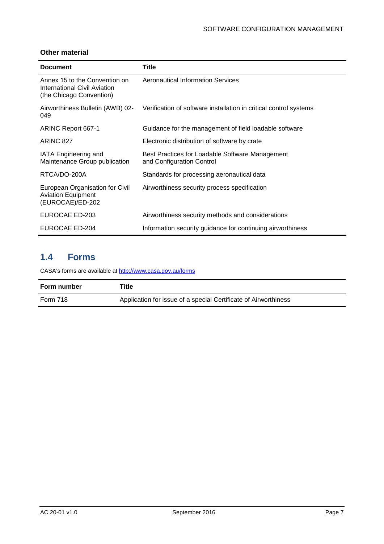#### **Other material**

| <b>Document</b>                                                                                  | Title                                                                        |
|--------------------------------------------------------------------------------------------------|------------------------------------------------------------------------------|
| Annex 15 to the Convention on<br><b>International Civil Aviation</b><br>(the Chicago Convention) | <b>Aeronautical Information Services</b>                                     |
| Airworthiness Bulletin (AWB) 02-<br>049                                                          | Verification of software installation in critical control systems            |
| ARINC Report 667-1                                                                               | Guidance for the management of field loadable software                       |
| ARINC 827                                                                                        | Electronic distribution of software by crate                                 |
| IATA Engineering and<br>Maintenance Group publication                                            | Best Practices for Loadable Software Management<br>and Configuration Control |
| RTCA/DO-200A                                                                                     | Standards for processing aeronautical data                                   |
| European Organisation for Civil<br><b>Aviation Equipment</b><br>(EUROCAE)/ED-202                 | Airworthiness security process specification                                 |
| <b>EUROCAE ED-203</b>                                                                            | Airworthiness security methods and considerations                            |
| <b>EUROCAE ED-204</b>                                                                            | Information security guidance for continuing airworthiness                   |

#### <span id="page-7-0"></span>**1.4 Forms**

CASA's forms are available a[t http://www.casa.gov.au/forms](http://www.casa.gov.au/forms)

| Form number | Title                                                           |
|-------------|-----------------------------------------------------------------|
| Form 718    | Application for issue of a special Certificate of Airworthiness |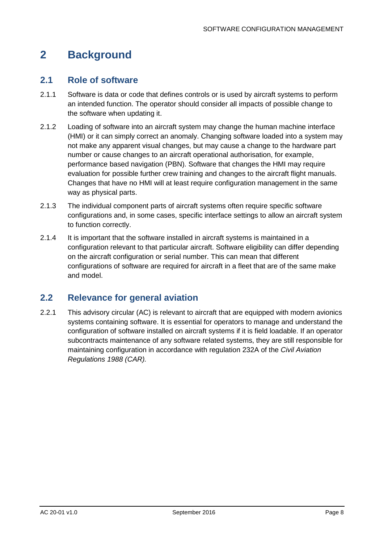## <span id="page-8-0"></span>**2 Background**

#### <span id="page-8-1"></span>**2.1 Role of software**

- 2.1.1 Software is data or code that defines controls or is used by aircraft systems to perform an intended function. The operator should consider all impacts of possible change to the software when updating it.
- 2.1.2 Loading of software into an aircraft system may change the human machine interface (HMI) or it can simply correct an anomaly. Changing software loaded into a system may not make any apparent visual changes, but may cause a change to the hardware part number or cause changes to an aircraft operational authorisation, for example, performance based navigation (PBN). Software that changes the HMI may require evaluation for possible further crew training and changes to the aircraft flight manuals. Changes that have no HMI will at least require configuration management in the same way as physical parts.
- 2.1.3 The individual component parts of aircraft systems often require specific software configurations and, in some cases, specific interface settings to allow an aircraft system to function correctly.
- 2.1.4 It is important that the software installed in aircraft systems is maintained in a configuration relevant to that particular aircraft. Software eligibility can differ depending on the aircraft configuration or serial number. This can mean that different configurations of software are required for aircraft in a fleet that are of the same make and model.

#### <span id="page-8-2"></span>**2.2 Relevance for general aviation**

2.2.1 This advisory circular (AC) is relevant to aircraft that are equipped with modern avionics systems containing software. It is essential for operators to manage and understand the configuration of software installed on aircraft systems if it is field loadable. If an operator subcontracts maintenance of any software related systems, they are still responsible for maintaining configuration in accordance with regulation 232A of the *Civil Aviation Regulations 1988 (CAR).*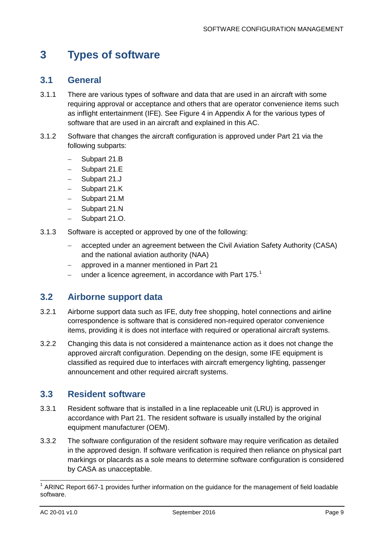## <span id="page-9-0"></span>**3 Types of software**

#### <span id="page-9-1"></span>**3.1 General**

- 3.1.1 There are various types of software and data that are used in an aircraft with some requiring approval or acceptance and others that are operator convenience items such as inflight entertainment (IFE). See [Figure 4](#page-21-0) in [Appendix A](#page-20-0) for the various types of software that are used in an aircraft and explained in this AC.
- 3.1.2 Software that changes the aircraft configuration is approved under Part 21 via the following subparts:
	- − Subpart 21.B
	- − Subpart 21.E
	- − Subpart 21.J
	- Subpart 21.K
	- − Subpart 21.M
	- − Subpart 21.N
	- − Subpart 21.O.
- 3.1.3 Software is accepted or approved by one of the following:
	- − accepted under an agreement between the Civil Aviation Safety Authority (CASA) and the national aviation authority (NAA)
	- − approved in a manner mentioned in Part 21
	- $-$  under a licence agreement, in accordance with Part [1](#page-9-4)75.<sup>1</sup>

#### <span id="page-9-2"></span>**3.2 Airborne support data**

- 3.2.1 Airborne support data such as IFE, duty free shopping, hotel connections and airline correspondence is software that is considered non-required operator convenience items, providing it is does not interface with required or operational aircraft systems.
- 3.2.2 Changing this data is not considered a maintenance action as it does not change the approved aircraft configuration. Depending on the design, some IFE equipment is classified as required due to interfaces with aircraft emergency lighting, passenger announcement and other required aircraft systems.

#### <span id="page-9-3"></span>**3.3 Resident software**

- 3.3.1 Resident software that is installed in a line replaceable unit (LRU) is approved in accordance with Part 21. The resident software is usually installed by the original equipment manufacturer (OEM).
- 3.3.2 The software configuration of the resident software may require verification as detailed in the approved design. If software verification is required then reliance on physical part markings or placards as a sole means to determine software configuration is considered by CASA as unacceptable.

<span id="page-9-4"></span> $1$  ARINC Report 667-1 provides further information on the guidance for the management of field loadable software.  $\overline{\phantom{a}}$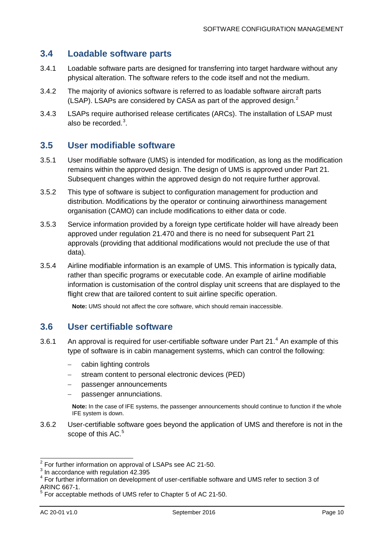#### <span id="page-10-0"></span>**3.4 Loadable software parts**

- 3.4.1 Loadable software parts are designed for transferring into target hardware without any physical alteration. The software refers to the code itself and not the medium.
- 3.4.2 The majority of avionics software is referred to as loadable software aircraft parts (LSAP). LSAPs are considered by CASA as part of the approved design.<sup>[2](#page-10-3)</sup>
- 3.4.3 LSAPs require authorised release certificates (ARCs). The installation of LSAP must also be recorded. $3$ .

#### <span id="page-10-1"></span>**3.5 User modifiable software**

- 3.5.1 User modifiable software (UMS) is intended for modification, as long as the modification remains within the approved design. The design of UMS is approved under Part 21. Subsequent changes within the approved design do not require further approval.
- 3.5.2 This type of software is subject to configuration management for production and distribution. Modifications by the operator or continuing airworthiness management organisation (CAMO) can include modifications to either data or code.
- 3.5.3 Service information provided by a foreign type certificate holder will have already been approved under regulation 21.470 and there is no need for subsequent Part 21 approvals (providing that additional modifications would not preclude the use of that data).
- 3.5.4 Airline modifiable information is an example of UMS. This information is typically data, rather than specific programs or executable code. An example of airline modifiable information is customisation of the control display unit screens that are displayed to the flight crew that are tailored content to suit airline specific operation.

**Note:** UMS should not affect the core software, which should remain inaccessible.

#### <span id="page-10-2"></span>**3.6 User certifiable software**

- 3.6.1 An approval is required for user-certifiable software under Part  $21<sup>4</sup>$  $21<sup>4</sup>$  $21<sup>4</sup>$  An example of this type of software is in cabin management systems, which can control the following:
	- − cabin lighting controls
	- − stream content to personal electronic devices (PED)
	- − passenger announcements
	- passenger annunciations.

**Note:** In the case of IFE systems, the passenger announcements should continue to function if the whole IFE system is down.

3.6.2 User-certifiable software goes beyond the application of UMS and therefore is not in the scope of this AC.<sup>[5](#page-10-6)</sup>

j

 $2^{2}$  For further information on approval of LSAPs see AC 21-50.<br> $3^{3}$  In accordance with regulation 42.395

<span id="page-10-5"></span><span id="page-10-4"></span><span id="page-10-3"></span><sup>4</sup> For further information on development of user-certifiable software and UMS refer to section 3 of<br>4 For further information on development of user-certifiable software and UMS refer to section 3 of ARINC 667-1.

<span id="page-10-6"></span><sup>&</sup>lt;sup>5</sup> For acceptable methods of UMS refer to Chapter 5 of AC 21-50.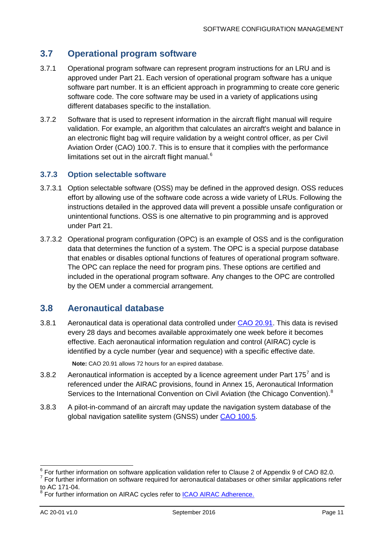#### <span id="page-11-0"></span>**3.7 Operational program software**

- 3.7.1 Operational program software can represent program instructions for an LRU and is approved under Part 21. Each version of operational program software has a unique software part number. It is an efficient approach in programming to create core generic software code. The core software may be used in a variety of applications using different databases specific to the installation.
- 3.7.2 Software that is used to represent information in the aircraft flight manual will require validation. For example, an algorithm that calculates an aircraft's weight and balance in an electronic flight bag will require validation by a weight control officer, as per Civil Aviation Order (CAO) 100.7. This is to ensure that it complies with the performance limitations set out in the aircraft flight manual. $<sup>6</sup>$  $<sup>6</sup>$  $<sup>6</sup>$ </sup>

#### **3.7.3 Option selectable software**

- 3.7.3.1 Option selectable software (OSS) may be defined in the approved design. OSS reduces effort by allowing use of the software code across a wide variety of LRUs. Following the instructions detailed in the approved data will prevent a possible unsafe configuration or unintentional functions. OSS is one alternative to pin programming and is approved under Part 21.
- 3.7.3.2 Operational program configuration (OPC) is an example of OSS and is the configuration data that determines the function of a system. The OPC is a special purpose database that enables or disables optional functions of features of operational program software. The OPC can replace the need for program pins. These options are certified and included in the operational program software. Any changes to the OPC are controlled by the OEM under a commercial arrangement.

#### <span id="page-11-1"></span>**3.8 Aeronautical database**

3.8.1 Aeronautical data is operational data controlled under [CAO 20.91.](https://www.legislation.gov.au/Details/F2014L01703) This data is revised every 28 days and becomes available approximately one week before it becomes effective. Each aeronautical information regulation and control (AIRAC) cycle is identified by a cycle number (year and sequence) with a specific effective date.

**Note:** CAO 20.91 allows 72 hours for an expired database.

- 3.8.2 Aeronautical information is accepted by a licence agreement under Part 1[7](#page-11-3)5<sup>7</sup> and is referenced under the AIRAC provisions, found in Annex 15, Aeronautical Information Services to the International Convention on Civil Aviation (the Chicago Convention).<sup>[8](#page-11-4)</sup>
- 3.8.3 A pilot-in-command of an aircraft may update the navigation system database of the global navigation satellite system (GNSS) under [CAO 100.5.](https://www.legislation.gov.au/Details/F2016C00070)

 $\overline{a}$ 

<span id="page-11-3"></span><span id="page-11-2"></span> $\frac{6}{5}$  For further information on software application validation refer to Clause 2 of Appendix 9 of CAO 82.0.  $7$  For further information on software required for aeronautical databases or other similar applications refer to AC 171-04.

<span id="page-11-4"></span><sup>&</sup>lt;sup>8</sup> For further information on AIRAC cycles refer to [ICAO AIRAC Adherence.](http://www.icao.int/safety/information-management/Pages/AIRACAdherence.aspx)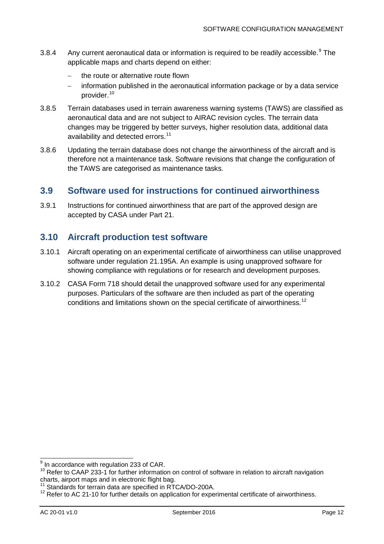- 3.8.4 Any current aeronautical data or information is required to be readily accessible.<sup>[9](#page-12-2)</sup> The applicable maps and charts depend on either:
	- the route or alternative route flown
	- information published in the aeronautical information package or by a data service provider.<sup>[10](#page-12-3)</sup>
- 3.8.5 Terrain databases used in terrain awareness warning systems (TAWS) are classified as aeronautical data and are not subject to AIRAC revision cycles. The terrain data changes may be triggered by better surveys, higher resolution data, additional data availability and detected errors.<sup>[11](#page-12-4)</sup>
- 3.8.6 Updating the terrain database does not change the airworthiness of the aircraft and is therefore not a maintenance task. Software revisions that change the configuration of the TAWS are categorised as maintenance tasks.

#### <span id="page-12-0"></span>**3.9 Software used for instructions for continued airworthiness**

3.9.1 Instructions for continued airworthiness that are part of the approved design are accepted by CASA under Part 21.

#### <span id="page-12-1"></span>**3.10 Aircraft production test software**

- 3.10.1 Aircraft operating on an experimental certificate of airworthiness can utilise unapproved software under regulation 21.195A. An example is using unapproved software for showing compliance with regulations or for research and development purposes.
- 3.10.2 CASA Form 718 should detail the unapproved software used for any experimental purposes. Particulars of the software are then included as part of the operating conditions and limitations shown on the special certificate of airworthiness.<sup>[12](#page-12-5)</sup>

 $\frac{9}{5}$  In accordance with regulation 233 of CAR. j

<span id="page-12-3"></span><span id="page-12-2"></span> $10$  Refer to CAAP 233-1 for further information on control of software in relation to aircraft navigation charts, airport maps and in electronic flight bag.

Standards for terrain data are specified in RTCA/DO-200A.

<span id="page-12-5"></span><span id="page-12-4"></span> $12$  Refer to AC 21-10 for further details on application for experimental certificate of airworthiness.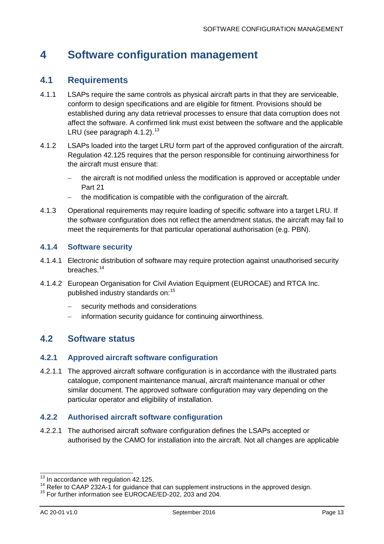## <span id="page-13-0"></span>**4 Software configuration management**

#### <span id="page-13-1"></span>**4.1 Requirements**

- 4.1.1 LSAPs require the same controls as physical aircraft parts in that they are serviceable, conform to design specifications and are eligible for fitment. Provisions should be established during any data retrieval processes to ensure that data corruption does not affect the software. A confirmed link must exist between the software and the applicable LRU (see paragraph [4.1.2\)](#page-13-3).<sup>[13](#page-13-4)</sup>
- <span id="page-13-3"></span>4.1.2 LSAPs loaded into the target LRU form part of the approved configuration of the aircraft. Regulation 42.125 requires that the person responsible for continuing airworthiness for the aircraft must ensure that:
	- the aircraft is not modified unless the modification is approved or acceptable under Part 21
	- − the modification is compatible with the configuration of the aircraft.
- 4.1.3 Operational requirements may require loading of specific software into a target LRU. If the software configuration does not reflect the amendment status, the aircraft may fail to meet the requirements for that particular operational authorisation (e.g. PBN).

#### **4.1.4 Software security**

- 4.1.4.1 Electronic distribution of software may require protection against unauthorised security breaches. [14](#page-13-5)
- 4.1.4.2 European Organisation for Civil Aviation Equipment (EUROCAE) and RTCA Inc. published industry standards on:[15](#page-13-6)
	- security methods and considerations
	- − information security guidance for continuing airworthiness.

#### <span id="page-13-2"></span>**4.2 Software status**

#### **4.2.1 Approved aircraft software configuration**

4.2.1.1 The approved aircraft software configuration is in accordance with the illustrated parts catalogue, component maintenance manual, aircraft maintenance manual or other similar document. The approved software configuration may vary depending on the particular operator and eligibility of installation.

#### **4.2.2 Authorised aircraft software configuration**

4.2.2.1 The authorised aircraft software configuration defines the LSAPs accepted or authorised by the CAMO for installation into the aircraft. Not all changes are applicable

<span id="page-13-4"></span> $^{13}$  In accordance with regulation 42.125.

<span id="page-13-5"></span><sup>14</sup> Refer to CAAP 232A-1 for guidance that can supplement instructions in the approved design.<br><sup>15</sup> For further information see EUROCAE/ED-202, 203 and 204.

<span id="page-13-6"></span>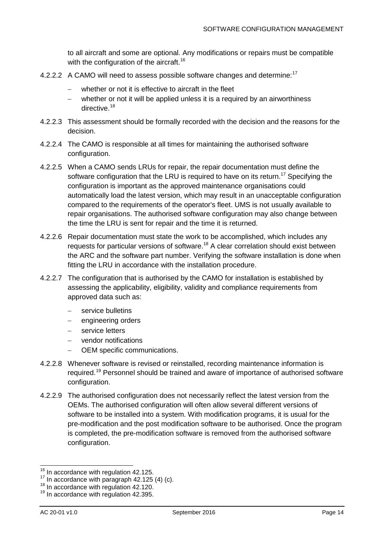to all aircraft and some are optional. Any modifications or repairs must be compatible with the configuration of the aircraft.<sup>[16](#page-14-0)</sup>

- 4.2.2.2  $\,$  A CAMO will need to assess possible software changes and determine:<sup>[17](#page-14-1)</sup>
	- − whether or not it is effective to aircraft in the fleet
	- − whether or not it will be applied unless it is a required by an airworthiness directive.<sup>[18](#page-14-2)</sup>
- 4.2.2.3 This assessment should be formally recorded with the decision and the reasons for the decision.
- 4.2.2.4 The CAMO is responsible at all times for maintaining the authorised software configuration.
- 4.2.2.5 When a CAMO sends LRUs for repair, the repair documentation must define the software configuration that the LRU is required to have on its return.<sup>17</sup> Specifying the configuration is important as the approved maintenance organisations could automatically load the latest version, which may result in an unacceptable configuration compared to the requirements of the operator's fleet. UMS is not usually available to repair organisations. The authorised software configuration may also change between the time the LRU is sent for repair and the time it is returned.
- 4.2.2.6 Repair documentation must state the work to be accomplished, which includes any requests for particular versions of software.<sup>18</sup> A clear correlation should exist between the ARC and the software part number. Verifying the software installation is done when fitting the LRU in accordance with the installation procedure.
- 4.2.2.7 The configuration that is authorised by the CAMO for installation is established by assessing the applicability, eligibility, validity and compliance requirements from approved data such as:
	- service bulletins
	- − engineering orders
	- service letters
	- vendor notifications
	- − OEM specific communications.
- 4.2.2.8 Whenever software is revised or reinstalled, recording maintenance information is required.<sup>[19](#page-14-3)</sup> Personnel should be trained and aware of importance of authorised software configuration.
- 4.2.2.9 The authorised configuration does not necessarily reflect the latest version from the OEMs. The authorised configuration will often allow several different versions of software to be installed into a system. With modification programs, it is usual for the pre-modification and the post modification software to be authorised. Once the program is completed, the pre-modification software is removed from the authorised software configuration.

<span id="page-14-0"></span> $16$  In accordance with regulation 42.125.

<span id="page-14-2"></span><span id="page-14-1"></span><sup>&</sup>lt;sup>17</sup> In accordance with paragraph 42.125 (4) (c).<br><sup>18</sup> In accordance with regulation 42.120.<br><sup>19</sup> In accordance with regulation 42.395.

<span id="page-14-3"></span>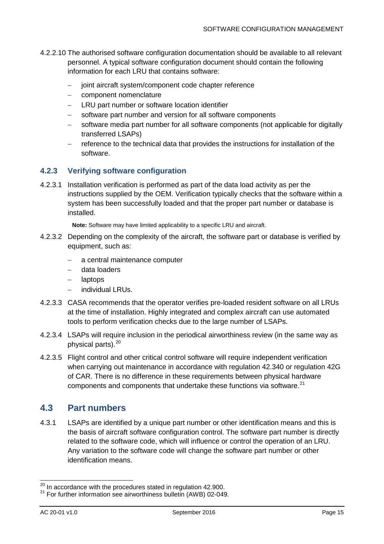- 4.2.2.10 The authorised software configuration documentation should be available to all relevant personnel. A typical software configuration document should contain the following information for each LRU that contains software:
	- − joint aircraft system/component code chapter reference
	- − component nomenclature
	- LRU part number or software location identifier
	- software part number and version for all software components
	- − software media part number for all software components (not applicable for digitally transferred LSAPs)
	- − reference to the technical data that provides the instructions for installation of the software.

#### **4.2.3 Verifying software configuration**

4.2.3.1 Installation verification is performed as part of the data load activity as per the instructions supplied by the OEM. Verification typically checks that the software within a system has been successfully loaded and that the proper part number or database is installed.

**Note:** Software may have limited applicability to a specific LRU and aircraft.

- 4.2.3.2 Depending on the complexity of the aircraft, the software part or database is verified by equipment, such as:
	- − a central maintenance computer
	- − data loaders
	- − laptops
	- − individual LRUs.
- 4.2.3.3 CASA recommends that the operator verifies pre-loaded resident software on all LRUs at the time of installation. Highly integrated and complex aircraft can use automated tools to perform verification checks due to the large number of LSAPs.
- 4.2.3.4 LSAPs will require inclusion in the periodical airworthiness review (in the same way as physical parts).<sup>[20](#page-15-1)</sup>
- 4.2.3.5 Flight control and other critical control software will require independent verification when carrying out maintenance in accordance with regulation 42.340 or regulation 42G of CAR. There is no difference in these requirements between physical hardware components and components that undertake these functions via software. $2^1$

#### <span id="page-15-0"></span>**4.3 Part numbers**

4.3.1 LSAPs are identified by a unique part number or other identification means and this is the basis of aircraft software configuration control. The software part number is directly related to the software code, which will influence or control the operation of an LRU. Any variation to the software code will change the software part number or other identification means.

 $\overline{a}$ 

<span id="page-15-2"></span><span id="page-15-1"></span> $^{20}$  In accordance with the procedures stated in regulation 42.900.<br><sup>21</sup> For further information see airworthiness bulletin (AWB) 02-049.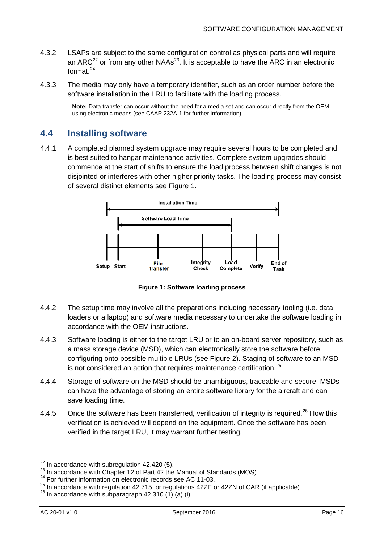- 4.3.2 LSAPs are subject to the same configuration control as physical parts and will require an ARC<sup>[22](#page-16-2)</sup> or from any other NAAs<sup>23</sup>. It is acceptable to have the ARC in an electronic format $24$
- 4.3.3 The media may only have a temporary identifier, such as an order number before the software installation in the LRU to facilitate with the loading process.

**Note:** Data transfer can occur without the need for a media set and can occur directly from the OEM using electronic means (see CAAP 232A-1 for further information).

#### <span id="page-16-0"></span>**4.4 Installing software**

4.4.1 A completed planned system upgrade may require several hours to be completed and is best suited to hangar maintenance activities. Complete system upgrades should commence at the start of shifts to ensure the load process between shift changes is not disjointed or interferes with other higher priority tasks. The loading process may consist of several distinct elements see [Figure 1.](#page-16-1)



**Figure 1: Software loading process**

- <span id="page-16-1"></span>4.4.2 The setup time may involve all the preparations including necessary tooling (i.e. data loaders or a laptop) and software media necessary to undertake the software loading in accordance with the OEM instructions.
- 4.4.3 Software loading is either to the target LRU or to an on-board server repository, such as a mass storage device (MSD), which can electronically store the software before configuring onto possible multiple LRUs (see [Figure 2\)](#page-17-1). Staging of software to an MSD is not considered an action that requires maintenance certification.<sup>[25](#page-16-5)</sup>
- 4.4.4 Storage of software on the MSD should be unambiguous, traceable and secure. MSDs can have the advantage of storing an entire software library for the aircraft and can save loading time.
- 4.4.5 Once the software has been transferred, verification of integrity is required.<sup>[26](#page-16-6)</sup> How this verification is achieved will depend on the equipment. Once the software has been verified in the target LRU, it may warrant further testing.

 $22$  In accordance with subregulation 42.420 (5).

<span id="page-16-3"></span><span id="page-16-2"></span><sup>23</sup> In accordance with Chapter 12 of Part 42 the Manual of Standards (MOS).<br>
<sup>24</sup> For further information on electronic records see AC 11-03.

<span id="page-16-5"></span><span id="page-16-4"></span><sup>&</sup>lt;sup>25</sup> In accordance with regulation 42.715, or regulations 42ZE or 42ZN of CAR (if applicable).<br><sup>26</sup> In accordance with subparagraph 42.310 (1) (a) (i).

<span id="page-16-6"></span>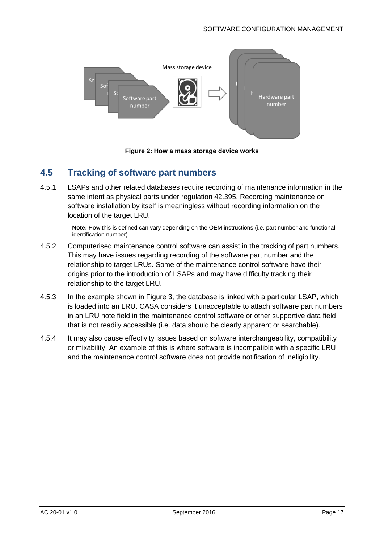

**Figure 2: How a mass storage device works**

#### <span id="page-17-1"></span><span id="page-17-0"></span>**4.5 Tracking of software part numbers**

4.5.1 LSAPs and other related databases require recording of maintenance information in the same intent as physical parts under regulation 42.395. Recording maintenance on software installation by itself is meaningless without recording information on the location of the target LRU.

> **Note:** How this is defined can vary depending on the OEM instructions (i.e. part number and functional identification number).

- 4.5.2 Computerised maintenance control software can assist in the tracking of part numbers. This may have issues regarding recording of the software part number and the relationship to target LRUs. Some of the maintenance control software have their origins prior to the introduction of LSAPs and may have difficulty tracking their relationship to the target LRU.
- 4.5.3 In the example shown in [Figure 3,](#page-18-1) the database is linked with a particular LSAP, which is loaded into an LRU. CASA considers it unacceptable to attach software part numbers in an LRU note field in the maintenance control software or other supportive data field that is not readily accessible (i.e. data should be clearly apparent or searchable).
- 4.5.4 It may also cause effectivity issues based on software interchangeability, compatibility or mixability. An example of this is where software is incompatible with a specific LRU and the maintenance control software does not provide notification of ineligibility.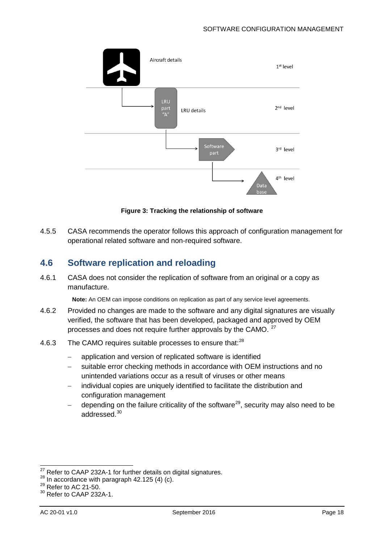

**Figure 3: Tracking the relationship of software**

<span id="page-18-1"></span>4.5.5 CASA recommends the operator follows this approach of configuration management for operational related software and non-required software.

#### <span id="page-18-0"></span>**4.6 Software replication and reloading**

4.6.1 CASA does not consider the replication of software from an original or a copy as manufacture.

**Note:** An OEM can impose conditions on replication as part of any service level agreements.

- 4.6.2 Provided no changes are made to the software and any digital signatures are visually verified, the software that has been developed, packaged and approved by OEM processes and does not require further approvals by the CAMO. <sup>[27](#page-18-2)</sup>
- 4.6.3 The CAMO requires suitable processes to ensure that:<sup>[28](#page-18-3)</sup>
	- − application and version of replicated software is identified
	- suitable error checking methods in accordance with OEM instructions and no unintended variations occur as a result of viruses or other means
	- − individual copies are uniquely identified to facilitate the distribution and configuration management
	- − depending on the failure criticality of the software<sup>29</sup>, security may also need to be addressed. [30](#page-18-5)

<sup>&</sup>lt;sup>27</sup> Refer to CAAP 232A-1 for further details on digital signatures.<br><sup>28</sup> In accordance with paragraph 42.125 (4) (c).<br><sup>29</sup> Refer to AC 21-50.  $\overline{a}$ 

<span id="page-18-5"></span><span id="page-18-4"></span><span id="page-18-3"></span><span id="page-18-2"></span> $^{29}$  Refer to AC 21-50.<br> $^{30}$  Refer to CAAP 232A-1.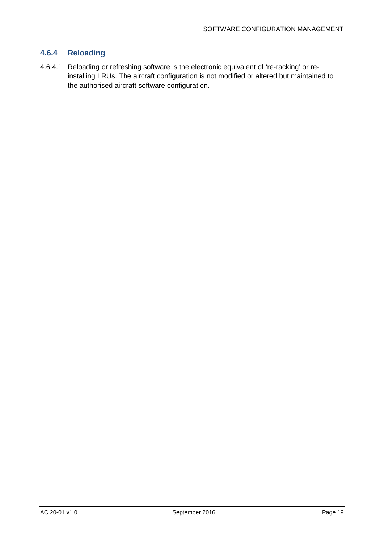#### **4.6.4 Reloading**

4.6.4.1 Reloading or refreshing software is the electronic equivalent of 're-racking' or reinstalling LRUs. The aircraft configuration is not modified or altered but maintained to the authorised aircraft software configuration.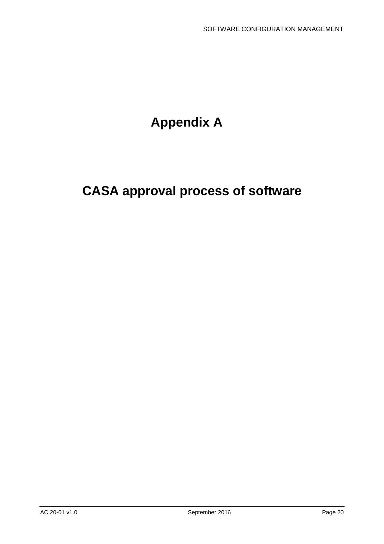## **Appendix A**

## <span id="page-20-0"></span>**CASA approval process of software**